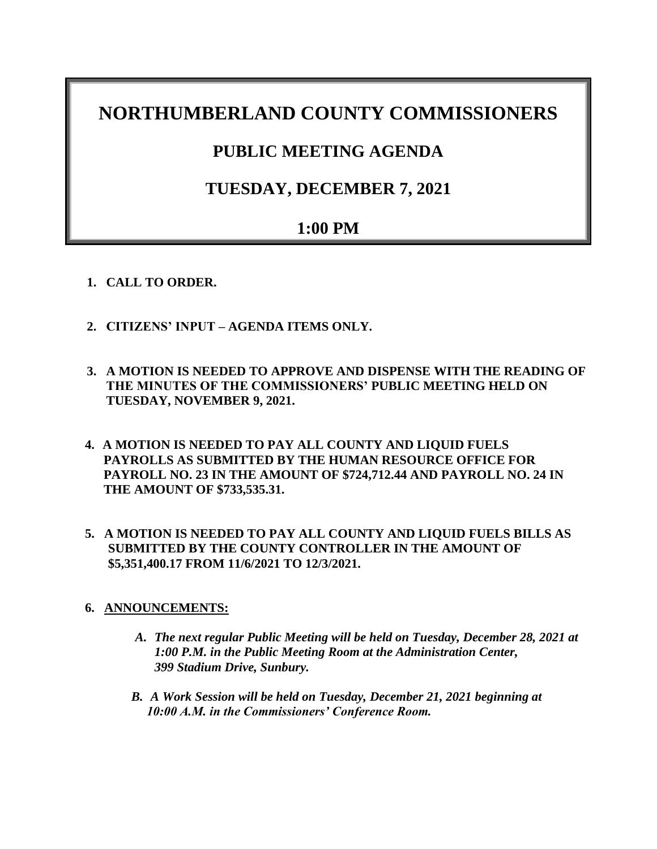# **NORTHUMBERLAND COUNTY COMMISSIONERS**

## **PUBLIC MEETING AGENDA**

## **TUESDAY, DECEMBER 7, 2021**

## **1:00 PM**

- **1. CALL TO ORDER.**
- **2. CITIZENS' INPUT – AGENDA ITEMS ONLY.**
- **3. A MOTION IS NEEDED TO APPROVE AND DISPENSE WITH THE READING OF THE MINUTES OF THE COMMISSIONERS' PUBLIC MEETING HELD ON TUESDAY, NOVEMBER 9, 2021.**
- **4. A MOTION IS NEEDED TO PAY ALL COUNTY AND LIQUID FUELS PAYROLLS AS SUBMITTED BY THE HUMAN RESOURCE OFFICE FOR PAYROLL NO. 23 IN THE AMOUNT OF \$724,712.44 AND PAYROLL NO. 24 IN THE AMOUNT OF \$733,535.31.**
- **5. A MOTION IS NEEDED TO PAY ALL COUNTY AND LIQUID FUELS BILLS AS SUBMITTED BY THE COUNTY CONTROLLER IN THE AMOUNT OF \$5,351,400.17 FROM 11/6/2021 TO 12/3/2021.**

## **6. ANNOUNCEMENTS:**

- *A. The next regular Public Meeting will be held on Tuesday, December 28, 2021 at 1:00 P.M. in the Public Meeting Room at the Administration Center, 399 Stadium Drive, Sunbury.*
- *B. A Work Session will be held on Tuesday, December 21, 2021 beginning at 10:00 A.M. in the Commissioners' Conference Room.*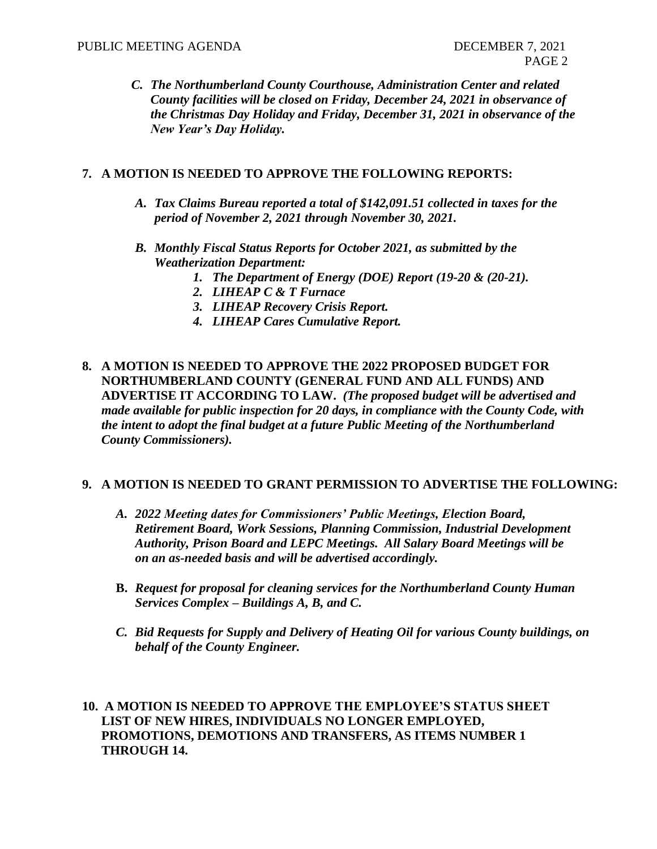*C. The Northumberland County Courthouse, Administration Center and related County facilities will be closed on Friday, December 24, 2021 in observance of the Christmas Day Holiday and Friday, December 31, 2021 in observance of the New Year's Day Holiday.*

### **7. A MOTION IS NEEDED TO APPROVE THE FOLLOWING REPORTS:**

- *A. Tax Claims Bureau reported a total of \$142,091.51 collected in taxes for the period of November 2, 2021 through November 30, 2021.*
- *B. Monthly Fiscal Status Reports for October 2021, as submitted by the Weatherization Department:*
	- *1. The Department of Energy (DOE) Report (19-20 & (20-21).*
	- *2. LIHEAP C & T Furnace*
	- *3. LIHEAP Recovery Crisis Report.*
	- *4. LIHEAP Cares Cumulative Report.*
- **8. A MOTION IS NEEDED TO APPROVE THE 2022 PROPOSED BUDGET FOR NORTHUMBERLAND COUNTY (GENERAL FUND AND ALL FUNDS) AND ADVERTISE IT ACCORDING TO LAW.** *(The proposed budget will be advertised and made available for public inspection for 20 days, in compliance with the County Code, with the intent to adopt the final budget at a future Public Meeting of the Northumberland County Commissioners).*

#### **9. A MOTION IS NEEDED TO GRANT PERMISSION TO ADVERTISE THE FOLLOWING:**

- *A. 2022 Meeting dates for Commissioners' Public Meetings, Election Board, Retirement Board, Work Sessions, Planning Commission, Industrial Development Authority, Prison Board and LEPC Meetings. All Salary Board Meetings will be on an as-needed basis and will be advertised accordingly.*
- **B.** *Request for proposal for cleaning services for the Northumberland County Human Services Complex – Buildings A, B, and C.*
- *C. Bid Requests for Supply and Delivery of Heating Oil for various County buildings, on behalf of the County Engineer.*

**10. A MOTION IS NEEDED TO APPROVE THE EMPLOYEE'S STATUS SHEET LIST OF NEW HIRES, INDIVIDUALS NO LONGER EMPLOYED, PROMOTIONS, DEMOTIONS AND TRANSFERS, AS ITEMS NUMBER 1 THROUGH 14.**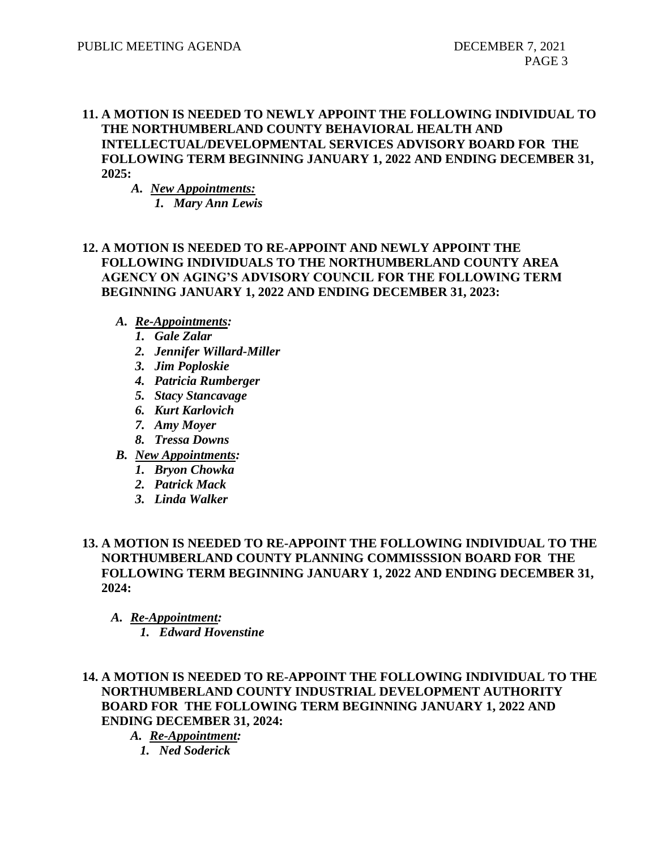## **11. A MOTION IS NEEDED TO NEWLY APPOINT THE FOLLOWING INDIVIDUAL TO THE NORTHUMBERLAND COUNTY BEHAVIORAL HEALTH AND INTELLECTUAL/DEVELOPMENTAL SERVICES ADVISORY BOARD FOR THE FOLLOWING TERM BEGINNING JANUARY 1, 2022 AND ENDING DECEMBER 31, 2025:**

*A. New Appointments: 1. Mary Ann Lewis*

## **12. A MOTION IS NEEDED TO RE-APPOINT AND NEWLY APPOINT THE FOLLOWING INDIVIDUALS TO THE NORTHUMBERLAND COUNTY AREA AGENCY ON AGING'S ADVISORY COUNCIL FOR THE FOLLOWING TERM BEGINNING JANUARY 1, 2022 AND ENDING DECEMBER 31, 2023:**

- *A. Re-Appointments:*
	- *1. Gale Zalar*
	- *2. Jennifer Willard-Miller*
	- *3. Jim Poploskie*
	- *4. Patricia Rumberger*
	- *5. Stacy Stancavage*
	- *6. Kurt Karlovich*
	- *7. Amy Moyer*
	- *8. Tressa Downs*
- *B. New Appointments:*
	- *1. Bryon Chowka*
	- *2. Patrick Mack*
	- *3. Linda Walker*

## **13. A MOTION IS NEEDED TO RE-APPOINT THE FOLLOWING INDIVIDUAL TO THE NORTHUMBERLAND COUNTY PLANNING COMMISSSION BOARD FOR THE FOLLOWING TERM BEGINNING JANUARY 1, 2022 AND ENDING DECEMBER 31, 2024:**

*A. Re-Appointment: 1. Edward Hovenstine*

### **14. A MOTION IS NEEDED TO RE-APPOINT THE FOLLOWING INDIVIDUAL TO THE NORTHUMBERLAND COUNTY INDUSTRIAL DEVELOPMENT AUTHORITY BOARD FOR THE FOLLOWING TERM BEGINNING JANUARY 1, 2022 AND ENDING DECEMBER 31, 2024:**

*A. Re-Appointment: 1. Ned Soderick*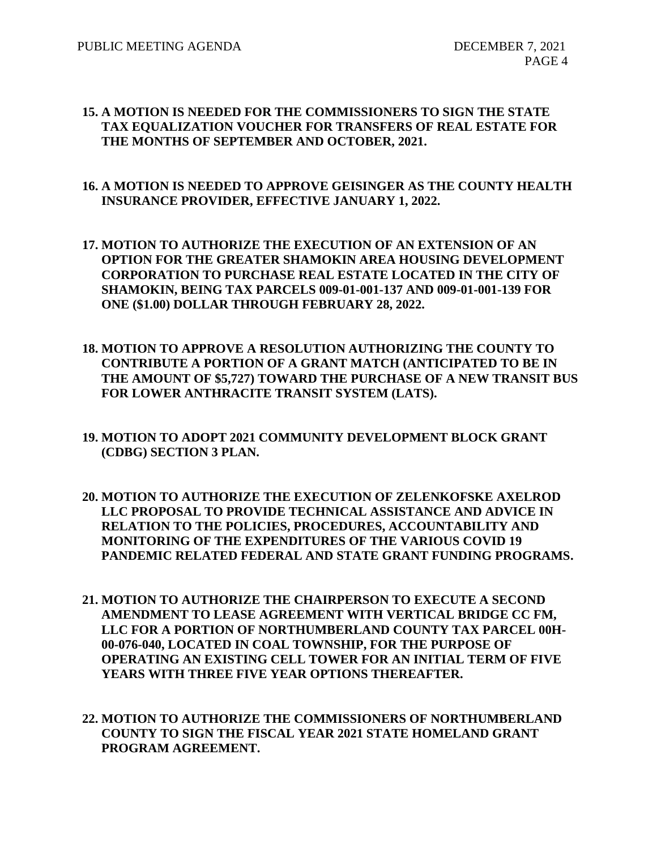#### **15. A MOTION IS NEEDED FOR THE COMMISSIONERS TO SIGN THE STATE TAX EQUALIZATION VOUCHER FOR TRANSFERS OF REAL ESTATE FOR THE MONTHS OF SEPTEMBER AND OCTOBER, 2021.**

### **16. A MOTION IS NEEDED TO APPROVE GEISINGER AS THE COUNTY HEALTH INSURANCE PROVIDER, EFFECTIVE JANUARY 1, 2022.**

- **17. MOTION TO AUTHORIZE THE EXECUTION OF AN EXTENSION OF AN OPTION FOR THE GREATER SHAMOKIN AREA HOUSING DEVELOPMENT CORPORATION TO PURCHASE REAL ESTATE LOCATED IN THE CITY OF SHAMOKIN, BEING TAX PARCELS 009-01-001-137 AND 009-01-001-139 FOR ONE (\$1.00) DOLLAR THROUGH FEBRUARY 28, 2022.**
- **18. MOTION TO APPROVE A RESOLUTION AUTHORIZING THE COUNTY TO CONTRIBUTE A PORTION OF A GRANT MATCH (ANTICIPATED TO BE IN THE AMOUNT OF \$5,727) TOWARD THE PURCHASE OF A NEW TRANSIT BUS FOR LOWER ANTHRACITE TRANSIT SYSTEM (LATS).**
- **19. MOTION TO ADOPT 2021 COMMUNITY DEVELOPMENT BLOCK GRANT (CDBG) SECTION 3 PLAN.**
- **20. MOTION TO AUTHORIZE THE EXECUTION OF ZELENKOFSKE AXELROD LLC PROPOSAL TO PROVIDE TECHNICAL ASSISTANCE AND ADVICE IN RELATION TO THE POLICIES, PROCEDURES, ACCOUNTABILITY AND MONITORING OF THE EXPENDITURES OF THE VARIOUS COVID 19 PANDEMIC RELATED FEDERAL AND STATE GRANT FUNDING PROGRAMS.**
- **21. MOTION TO AUTHORIZE THE CHAIRPERSON TO EXECUTE A SECOND AMENDMENT TO LEASE AGREEMENT WITH VERTICAL BRIDGE CC FM, LLC FOR A PORTION OF NORTHUMBERLAND COUNTY TAX PARCEL 00H-00-076-040, LOCATED IN COAL TOWNSHIP, FOR THE PURPOSE OF OPERATING AN EXISTING CELL TOWER FOR AN INITIAL TERM OF FIVE YEARS WITH THREE FIVE YEAR OPTIONS THEREAFTER.**
- **22. MOTION TO AUTHORIZE THE COMMISSIONERS OF NORTHUMBERLAND COUNTY TO SIGN THE FISCAL YEAR 2021 STATE HOMELAND GRANT PROGRAM AGREEMENT.**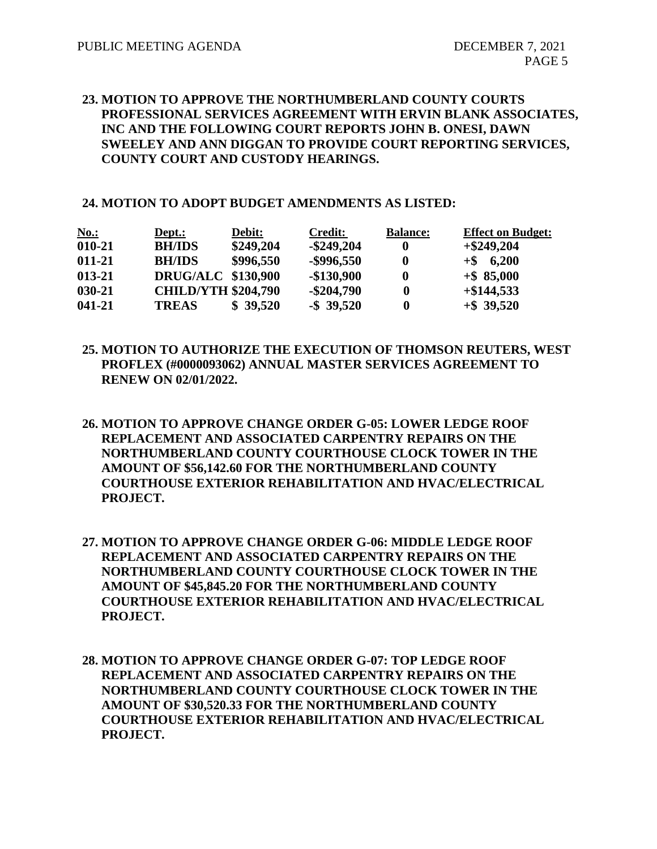### **23. MOTION TO APPROVE THE NORTHUMBERLAND COUNTY COURTS PROFESSIONAL SERVICES AGREEMENT WITH ERVIN BLANK ASSOCIATES, INC AND THE FOLLOWING COURT REPORTS JOHN B. ONESI, DAWN SWEELEY AND ANN DIGGAN TO PROVIDE COURT REPORTING SERVICES, COUNTY COURT AND CUSTODY HEARINGS.**

#### **24. MOTION TO ADOPT BUDGET AMENDMENTS AS LISTED:**

| <u>No.:</u> | Dept.:                     | Debit:    | <b>Credit:</b> | <b>Balance:</b> | <b>Effect on Budget:</b> |
|-------------|----------------------------|-----------|----------------|-----------------|--------------------------|
| 010-21      | <b>BH/IDS</b>              | \$249,204 | $-$ \$249,204  | 0               | $+$ \$249,204            |
| 011-21      | <b>BH/IDS</b>              | \$996,550 | $-$ \$996,550  | 0               | $+$ \$ 6,200             |
| 013-21      | <b>DRUG/ALC \$130,900</b>  |           | $-$130,900$    | 0               | $+$ \$85,000             |
| 030-21      | <b>CHILD/YTH \$204,790</b> |           | $-$ \$204,790  |                 | $+$ \$144,533            |
| 041-21      | <b>TREAS</b>               | \$39,520  | $-$ \$ 39,520  |                 | $+$ \$ 39,520            |

- **25. MOTION TO AUTHORIZE THE EXECUTION OF THOMSON REUTERS, WEST PROFLEX (#0000093062) ANNUAL MASTER SERVICES AGREEMENT TO RENEW ON 02/01/2022.**
- **26. MOTION TO APPROVE CHANGE ORDER G-05: LOWER LEDGE ROOF REPLACEMENT AND ASSOCIATED CARPENTRY REPAIRS ON THE NORTHUMBERLAND COUNTY COURTHOUSE CLOCK TOWER IN THE AMOUNT OF \$56,142.60 FOR THE NORTHUMBERLAND COUNTY COURTHOUSE EXTERIOR REHABILITATION AND HVAC/ELECTRICAL PROJECT.**
- **27. MOTION TO APPROVE CHANGE ORDER G-06: MIDDLE LEDGE ROOF REPLACEMENT AND ASSOCIATED CARPENTRY REPAIRS ON THE NORTHUMBERLAND COUNTY COURTHOUSE CLOCK TOWER IN THE AMOUNT OF \$45,845.20 FOR THE NORTHUMBERLAND COUNTY COURTHOUSE EXTERIOR REHABILITATION AND HVAC/ELECTRICAL PROJECT.**
- **28. MOTION TO APPROVE CHANGE ORDER G-07: TOP LEDGE ROOF REPLACEMENT AND ASSOCIATED CARPENTRY REPAIRS ON THE NORTHUMBERLAND COUNTY COURTHOUSE CLOCK TOWER IN THE AMOUNT OF \$30,520.33 FOR THE NORTHUMBERLAND COUNTY COURTHOUSE EXTERIOR REHABILITATION AND HVAC/ELECTRICAL PROJECT.**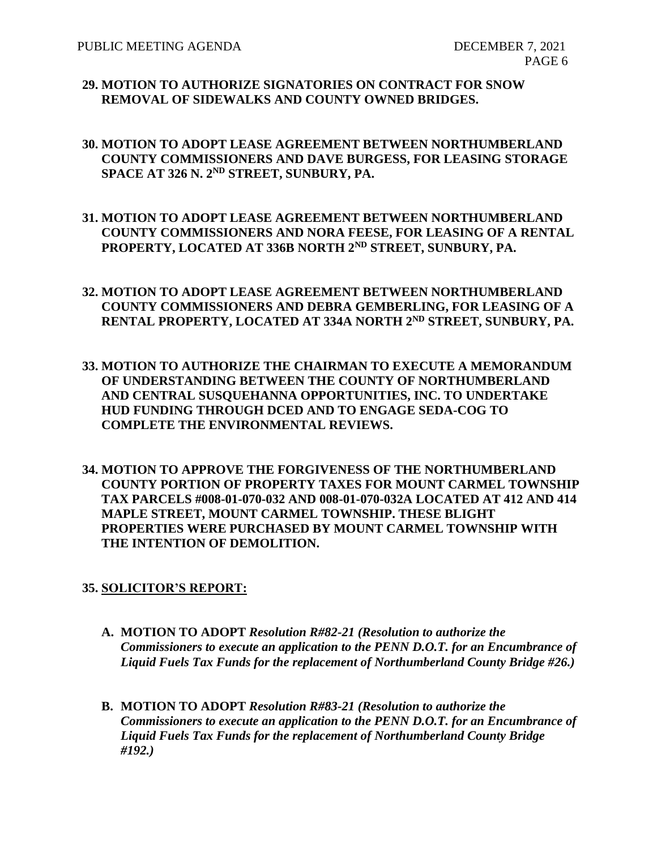#### **29. MOTION TO AUTHORIZE SIGNATORIES ON CONTRACT FOR SNOW REMOVAL OF SIDEWALKS AND COUNTY OWNED BRIDGES.**

- **30. MOTION TO ADOPT LEASE AGREEMENT BETWEEN NORTHUMBERLAND COUNTY COMMISSIONERS AND DAVE BURGESS, FOR LEASING STORAGE SPACE AT 326 N. 2 ND STREET, SUNBURY, PA.**
- **31. MOTION TO ADOPT LEASE AGREEMENT BETWEEN NORTHUMBERLAND COUNTY COMMISSIONERS AND NORA FEESE, FOR LEASING OF A RENTAL PROPERTY, LOCATED AT 336B NORTH 2ND STREET, SUNBURY, PA.**
- **32. MOTION TO ADOPT LEASE AGREEMENT BETWEEN NORTHUMBERLAND COUNTY COMMISSIONERS AND DEBRA GEMBERLING, FOR LEASING OF A RENTAL PROPERTY, LOCATED AT 334A NORTH 2ND STREET, SUNBURY, PA.**
- **33. MOTION TO AUTHORIZE THE CHAIRMAN TO EXECUTE A MEMORANDUM OF UNDERSTANDING BETWEEN THE COUNTY OF NORTHUMBERLAND AND CENTRAL SUSQUEHANNA OPPORTUNITIES, INC. TO UNDERTAKE HUD FUNDING THROUGH DCED AND TO ENGAGE SEDA-COG TO COMPLETE THE ENVIRONMENTAL REVIEWS.**
- **34. MOTION TO APPROVE THE FORGIVENESS OF THE NORTHUMBERLAND COUNTY PORTION OF PROPERTY TAXES FOR MOUNT CARMEL TOWNSHIP TAX PARCELS #008-01-070-032 AND 008-01-070-032A LOCATED AT 412 AND 414 MAPLE STREET, MOUNT CARMEL TOWNSHIP. THESE BLIGHT PROPERTIES WERE PURCHASED BY MOUNT CARMEL TOWNSHIP WITH THE INTENTION OF DEMOLITION.**

## **35. SOLICITOR'S REPORT:**

- **A. MOTION TO ADOPT** *Resolution R#82-21 (Resolution to authorize the Commissioners to execute an application to the PENN D.O.T. for an Encumbrance of Liquid Fuels Tax Funds for the replacement of Northumberland County Bridge #26.)*
- **B. MOTION TO ADOPT** *Resolution R#83-21 (Resolution to authorize the Commissioners to execute an application to the PENN D.O.T. for an Encumbrance of Liquid Fuels Tax Funds for the replacement of Northumberland County Bridge #192.)*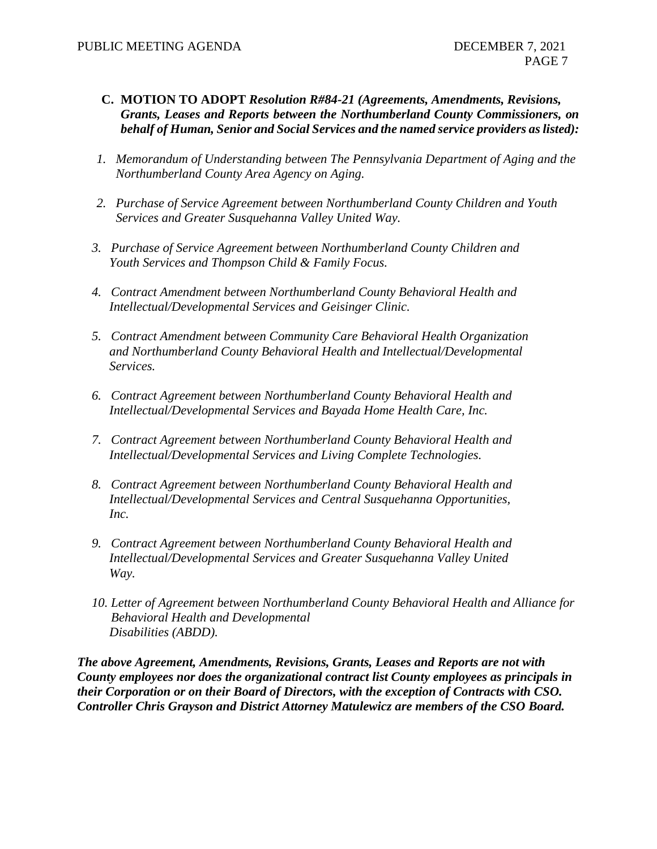- **C. MOTION TO ADOPT** *Resolution R#84-21 (Agreements, Amendments, Revisions, Grants, Leases and Reports between the Northumberland County Commissioners, on behalf of Human, Senior and Social Services and the named service providers as listed):*
- *1. Memorandum of Understanding between The Pennsylvania Department of Aging and the Northumberland County Area Agency on Aging.*
- *2. Purchase of Service Agreement between Northumberland County Children and Youth Services and Greater Susquehanna Valley United Way.*
- *3. Purchase of Service Agreement between Northumberland County Children and Youth Services and Thompson Child & Family Focus.*
- *4. Contract Amendment between Northumberland County Behavioral Health and Intellectual/Developmental Services and Geisinger Clinic.*
- *5. Contract Amendment between Community Care Behavioral Health Organization and Northumberland County Behavioral Health and Intellectual/Developmental Services.*
- *6. Contract Agreement between Northumberland County Behavioral Health and Intellectual/Developmental Services and Bayada Home Health Care, Inc.*
- *7. Contract Agreement between Northumberland County Behavioral Health and Intellectual/Developmental Services and Living Complete Technologies.*
- *8. Contract Agreement between Northumberland County Behavioral Health and Intellectual/Developmental Services and Central Susquehanna Opportunities, Inc.*
- *9. Contract Agreement between Northumberland County Behavioral Health and Intellectual/Developmental Services and Greater Susquehanna Valley United Way.*
- *10. Letter of Agreement between Northumberland County Behavioral Health and Alliance for Behavioral Health and Developmental Disabilities (ABDD).*

*The above Agreement, Amendments, Revisions, Grants, Leases and Reports are not with County employees nor does the organizational contract list County employees as principals in their Corporation or on their Board of Directors, with the exception of Contracts with CSO. Controller Chris Grayson and District Attorney Matulewicz are members of the CSO Board.*